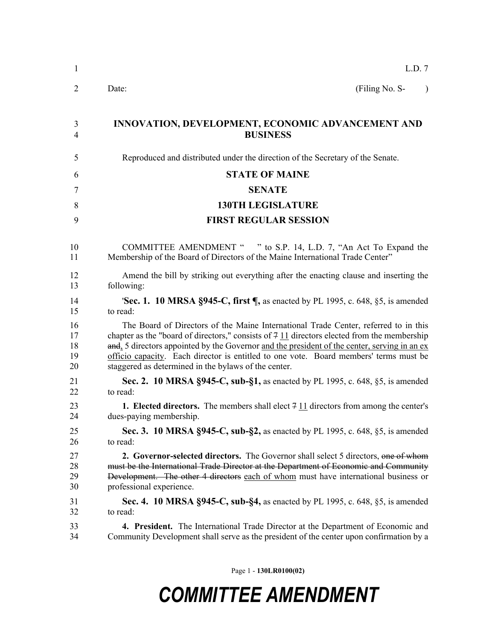| $\mathbf{1}$   | L.D. 7                                                                                                  |
|----------------|---------------------------------------------------------------------------------------------------------|
| $\overline{2}$ | (Filing No. S-<br>Date:<br>$\lambda$                                                                    |
| 3              | <b>INNOVATION, DEVELOPMENT, ECONOMIC ADVANCEMENT AND</b>                                                |
| 4              | <b>BUSINESS</b>                                                                                         |
| 5              | Reproduced and distributed under the direction of the Secretary of the Senate.                          |
| 6              | <b>STATE OF MAINE</b>                                                                                   |
| 7              | <b>SENATE</b>                                                                                           |
| 8              | <b>130TH LEGISLATURE</b>                                                                                |
| 9              | <b>FIRST REGULAR SESSION</b>                                                                            |
| 10             | COMMITTEE AMENDMENT " " to S.P. 14, L.D. 7, "An Act To Expand the                                       |
| 11             | Membership of the Board of Directors of the Maine International Trade Center"                           |
| 12             | Amend the bill by striking out everything after the enacting clause and inserting the                   |
| 13             | following:                                                                                              |
| 14             | <b>Sec. 1. 10 MRSA §945-C, first <math>\P</math></b> , as enacted by PL 1995, c. 648, §5, is amended    |
| 15             | to read:                                                                                                |
| 16             | The Board of Directors of the Maine International Trade Center, referred to in this                     |
| 17             | chapter as the "board of directors," consists of $7\overline{11}$ directors elected from the membership |
| 18             | and, 5 directors appointed by the Governor and the president of the center, serving in an ex-           |
| 19             | officio capacity. Each director is entitled to one vote. Board members' terms must be                   |
| 20             | staggered as determined in the bylaws of the center.                                                    |
| 21             | Sec. 2. 10 MRSA §945-C, sub-§1, as enacted by PL 1995, c. 648, §5, is amended                           |
| 22             | to read:                                                                                                |
| 23             | 1. Elected directors. The members shall elect $7 \underline{11}$ directors from among the center's      |
| 24             | dues-paying membership.                                                                                 |
| 25             | Sec. 3. 10 MRSA §945-C, sub-§2, as enacted by PL 1995, c. 648, §5, is amended                           |
| 26             | to read:                                                                                                |
| 27             | <b>2. Governor-selected directors.</b> The Governor shall select 5 directors, one of whom               |
| 28             | must be the International Trade Director at the Department of Economic and Community                    |
| 29             | Development. The other 4 directors each of whom must have international business or                     |
| 30             | professional experience.                                                                                |
| 31             | Sec. 4. 10 MRSA §945-C, sub-§4, as enacted by PL 1995, c. 648, §5, is amended                           |
| 32             | to read:                                                                                                |
| 33             | 4. President. The International Trade Director at the Department of Economic and                        |
| 34             | Community Development shall serve as the president of the center upon confirmation by a                 |
|                |                                                                                                         |

Page 1 - **130LR0100(02)**

## *COMMITTEE AMENDMENT*